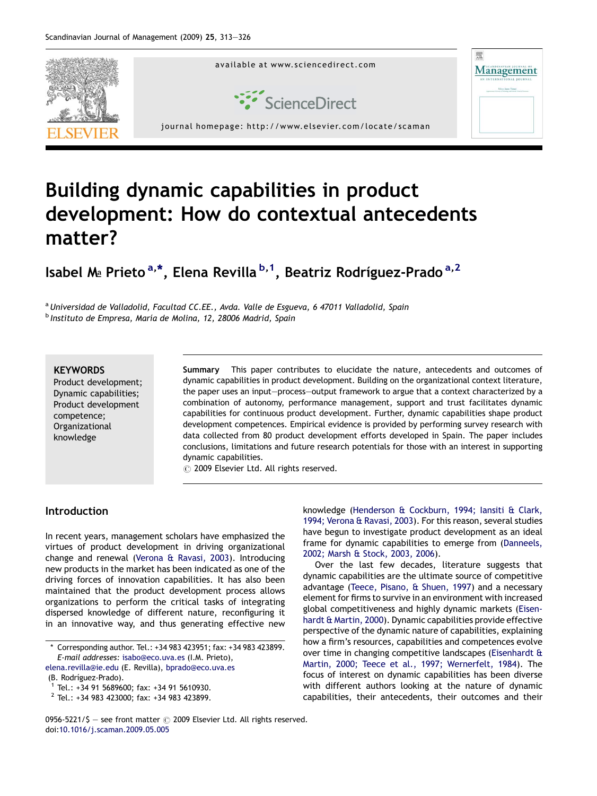

## Building dynamic capabilities in product development: How do contextual antecedents matter?

Isabel Ma Prieto<sup>a,\*</sup>, Elena Revilla <sup>b,1</sup>, Beatriz Rodríguez-Prado<sup>a,2</sup>

a Universidad de Valladolid, Facultad CC.EE., Avda. Valle de Esgueva, 6 47011 Valladolid, Spain  $<sup>b</sup>$  Instituto de Empresa, María de Molina, 12, 28006 Madrid, Spain</sup>

## **KFYWORDS**

Product development; Dynamic capabilities; Product development competence; Organizational knowledge

Summary This paper contributes to elucidate the nature, antecedents and outcomes of dynamic capabilities in product development. Building on the organizational context literature, the paper uses an input—process—output framework to argue that a context characterized by a combination of autonomy, performance management, support and trust facilitates dynamic capabilities for continuous product development. Further, dynamic capabilities shape product development competences. Empirical evidence is provided by performing survey research with data collected from 80 product development efforts developed in Spain. The paper includes conclusions, limitations and future research potentials for those with an interest in supporting dynamic capabilities.

 $\odot$  2009 Elsevier Ltd. All rights reserved.

## Introduction

In recent years, management scholars have emphasized the virtues of product development in driving organizational change and renewal ([Verona & Ravasi, 2003\)](#page--1-0). Introducing new products in the market has been indicated as one of the driving forces of innovation capabilities. It has also been maintained that the product development process allows organizations to perform the critical tasks of integrating dispersed knowledge of different nature, reconfiguring it in an innovative way, and thus generating effective new

[elena.revilla@ie.edu](mailto:elena.revilla@ie.edu) (E. Revilla), [bprado@eco.uva.es](mailto:bprado@eco.uva.es) (B. Rodríguez-Prado).<br><sup>1</sup> Tel.: +34 91 5689600; fax: +34 91 5610930.

<sup>2</sup> Tel.: +34 983 423000; fax: +34 983 423899.

knowledge [\(Henderson & Cockburn, 1994; Iansiti & Clark,](#page--1-0) [1994; Verona & Ravasi, 2003](#page--1-0)). For this reason, several studies have begun to investigate product development as an ideal frame for dynamic capabilities to emerge from ([Danneels,](#page--1-0) [2002; Marsh & Stock, 2003, 2006\)](#page--1-0).

Over the last few decades, literature suggests that dynamic capabilities are the ultimate source of competitive advantage [\(Teece, Pisano, & Shuen, 1997](#page--1-0)) and a necessary element for firms to survive in an environment with increased global competitiveness and highly dynamic markets ([Eisen](#page--1-0)[hardt & Martin, 2000\)](#page--1-0). Dynamic capabilities provide effective perspective of the dynamic nature of capabilities, explaining how a firm's resources, capabilities and competences evolve over time in changing competitive landscapes ([Eisenhardt &](#page--1-0) [Martin, 2000; Teece et al., 1997; Wernerfelt, 1984\)](#page--1-0). The focus of interest on dynamic capabilities has been diverse with different authors looking at the nature of dynamic capabilities, their antecedents, their outcomes and their

<sup>\*</sup> Corresponding author. Tel.: +34 983 423951; fax: +34 983 423899. E-mail addresses: [isabo@eco.uva.es](mailto:isabo@eco.uva.es) (I.M. Prieto),

<sup>0956-5221/\$ -</sup> see front matter  $\odot$  2009 Elsevier Ltd. All rights reserved. doi[:10.1016/j.scaman.2009.05.005](http://dx.doi.org/10.1016/j.scaman.2009.05.005)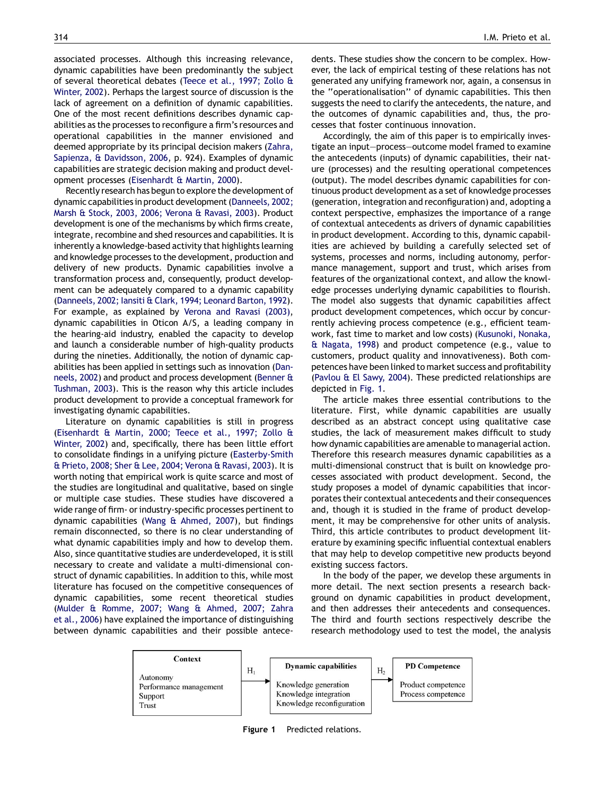associated processes. Although this increasing relevance, dynamic capabilities have been predominantly the subject of several theoretical debates ([Teece et al., 1997; Zollo &](#page--1-0) [Winter, 2002\)](#page--1-0). Perhaps the largest source of discussion is the lack of agreement on a definition of dynamic capabilities. One of the most recent definitions describes dynamic capabilities as the processes to reconfigure a firm's resources and operational capabilities in the manner envisioned and deemed appropriate by its principal decision makers [\(Zahra,](#page--1-0) [Sapienza, & Davidsson, 2006,](#page--1-0) p. 924). Examples of dynamic capabilities are strategic decision making and product development processes [\(Eisenhardt & Martin, 2000\)](#page--1-0).

Recently research has begun to explore the development of dynamic capabilities in product development [\(Danneels, 2002;](#page--1-0) [Marsh & Stock, 2003, 2006; Verona & Ravasi, 2003](#page--1-0)). Product development is one of the mechanisms by which firms create, integrate, recombine and shed resources and capabilities. It is inherently a knowledge-based activity that highlights learning and knowledge processes to the development, production and delivery of new products. Dynamic capabilities involve a transformation process and, consequently, product development can be adequately compared to a dynamic capability [\(Danneels, 2002; Iansiti & Clark, 1994; Leonard Barton, 1992](#page--1-0)). For example, as explained by [Verona and Ravasi \(2003\),](#page--1-0) dynamic capabilities in Oticon A/S, a leading company in the hearing-aid industry, enabled the capacity to develop and launch a considerable number of high-quality products during the nineties. Additionally, the notion of dynamic capabilities has been applied in settings such as innovation ([Dan](#page--1-0)[neels, 2002\)](#page--1-0) and product and process development ([Benner &](#page--1-0) [Tushman, 2003](#page--1-0)). This is the reason why this article includes product development to provide a conceptual framework for investigating dynamic capabilities.

Literature on dynamic capabilities is still in progress [\(Eisenhardt & Martin, 2000; Teece et al., 1997; Zollo &](#page--1-0) [Winter, 2002\)](#page--1-0) and, specifically, there has been little effort to consolidate findings in a unifying picture ([Easterby-Smith](#page--1-0) [& Prieto, 2008; Sher & Lee, 2004; Verona & Ravasi, 2003\)](#page--1-0). It is worth noting that empirical work is quite scarce and most of the studies are longitudinal and qualitative, based on single or multiple case studies. These studies have discovered a wide range of firm- or industry-specific processes pertinent to dynamic capabilities ([Wang & Ahmed, 2007\)](#page--1-0), but findings remain disconnected, so there is no clear understanding of what dynamic capabilities imply and how to develop them. Also, since quantitative studies are underdeveloped, it is still necessary to create and validate a multi-dimensional construct of dynamic capabilities. In addition to this, while most literature has focused on the competitive consequences of dynamic capabilities, some recent theoretical studies [\(Mulder & Romme, 2007; Wang & Ahmed, 2007; Zahra](#page--1-0) [et al., 2006\)](#page--1-0) have explained the importance of distinguishing between dynamic capabilities and their possible antecedents. These studies show the concern to be complex. However, the lack of empirical testing of these relations has not generated any unifying framework nor, again, a consensus in the ''operationalisation'' of dynamic capabilities. This then suggests the need to clarify the antecedents, the nature, and the outcomes of dynamic capabilities and, thus, the processes that foster continuous innovation.

Accordingly, the aim of this paper is to empirically investigate an input—process—outcome model framed to examine the antecedents (inputs) of dynamic capabilities, their nature (processes) and the resulting operational competences (output). The model describes dynamic capabilities for continuous product development as a set of knowledge processes (generation, integration and reconfiguration) and, adopting a context perspective, emphasizes the importance of a range of contextual antecedents as drivers of dynamic capabilities in product development. According to this, dynamic capabilities are achieved by building a carefully selected set of systems, processes and norms, including autonomy, performance management, support and trust, which arises from features of the organizational context, and allow the knowledge processes underlying dynamic capabilities to flourish. The model also suggests that dynamic capabilities affect product development competences, which occur by concurrently achieving process competence (e.g., efficient teamwork, fast time to market and low costs) [\(Kusunoki, Nonaka,](#page--1-0) [& Nagata, 1998](#page--1-0)) and product competence (e.g., value to customers, product quality and innovativeness). Both competences have been linked to market success and profitability ([Pavlou & El Sawy, 2004](#page--1-0)). These predicted relationships are depicted in Fig. 1.

The article makes three essential contributions to the literature. First, while dynamic capabilities are usually described as an abstract concept using qualitative case studies, the lack of measurement makes difficult to study how dynamic capabilities are amenable to managerial action. Therefore this research measures dynamic capabilities as a multi-dimensional construct that is built on knowledge processes associated with product development. Second, the study proposes a model of dynamic capabilities that incorporates their contextual antecedents and their consequences and, though it is studied in the frame of product development, it may be comprehensive for other units of analysis. Third, this article contributes to product development literature by examining specific influential contextual enablers that may help to develop competitive new products beyond existing success factors.

In the body of the paper, we develop these arguments in more detail. The next section presents a research background on dynamic capabilities in product development, and then addresses their antecedents and consequences. The third and fourth sections respectively describe the research methodology used to test the model, the analysis



Figure 1 Predicted relations.